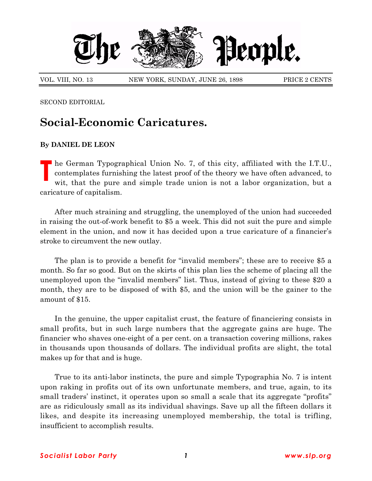

VOL. VIII, NO. 13 NEW YORK, SUNDAY, JUNE 26, 1898 PRICE 2 CENTS

SECOND EDITORIAL

## **Social-Economic Caricatures.**

## **By DANIEL DE LEON**

**T** he German Typographical Union No. 7, of this city, affiliated with the I.T.U., contemplates furnishing the latest proof of the theory we have often advanced, to wit, that the pure and simple trade union is not a labor organization, but a caricature of capitalism.

After much straining and struggling, the unemployed of the union had succeeded in raising the out-of-work benefit to \$5 a week. This did not suit the pure and simple element in the union, and now it has decided upon a true caricature of a financier's stroke to circumvent the new outlay.

The plan is to provide a benefit for "invalid members"; these are to receive \$5 a month. So far so good. But on the skirts of this plan lies the scheme of placing all the unemployed upon the "invalid members" list. Thus, instead of giving to these \$20 a month, they are to be disposed of with \$5, and the union will be the gainer to the amount of \$15.

In the genuine, the upper capitalist crust, the feature of financiering consists in small profits, but in such large numbers that the aggregate gains are huge. The financier who shaves one-eight of a per cent. on a transaction covering millions, rakes in thousands upon thousands of dollars. The individual profits are slight, the total makes up for that and is huge.

True to its anti-labor instincts, the pure and simple Typographia No. 7 is intent upon raking in profits out of its own unfortunate members, and true, again, to its small traders' instinct, it operates upon so small a scale that its aggregate "profits" are as ridiculously small as its individual shavings. Save up all the fifteen dollars it likes, and despite its increasing unemployed membership, the total is trifling, insufficient to accomplish results.